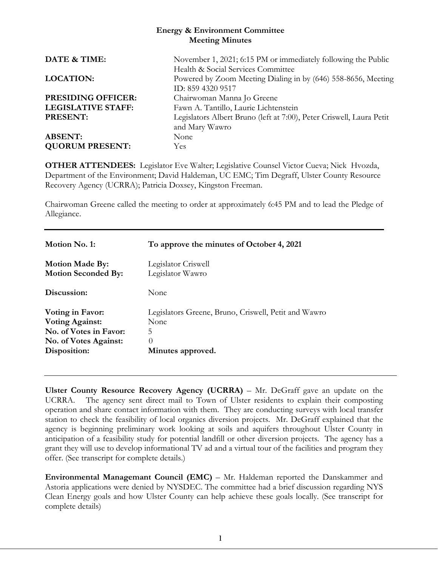#### **Energy & Environment Committee Meeting Minutes**

| DATE & TIME:              | November 1, 2021; 6:15 PM or immediately following the Public        |
|---------------------------|----------------------------------------------------------------------|
|                           | Health & Social Services Committee                                   |
| <b>LOCATION:</b>          | Powered by Zoom Meeting Dialing in by (646) 558-8656, Meeting        |
|                           | ID: 859 4320 9517                                                    |
| <b>PRESIDING OFFICER:</b> | Chairwoman Manna Jo Greene                                           |
| <b>LEGISLATIVE STAFF:</b> | Fawn A. Tantillo, Laurie Lichtenstein                                |
| <b>PRESENT:</b>           | Legislators Albert Bruno (left at 7:00), Peter Criswell, Laura Petit |
|                           | and Mary Wawro                                                       |
| <b>ABSENT:</b>            | None                                                                 |
| <b>QUORUM PRESENT:</b>    | <b>Yes</b>                                                           |

**OTHER ATTENDEES:** Legislator Eve Walter; Legislative Counsel Victor Cueva; Nick Hvozda, Department of the Environment; David Haldeman, UC EMC; Tim Degraff, Ulster County Resource Recovery Agency (UCRRA); Patricia Doxsey, Kingston Freeman.

Chairwoman Greene called the meeting to order at approximately 6:45 PM and to lead the Pledge of Allegiance.

| To approve the minutes of October 4, 2021            |
|------------------------------------------------------|
| Legislator Criswell<br>Legislator Wawro              |
| None                                                 |
| Legislators Greene, Bruno, Criswell, Petit and Wawro |
| None                                                 |
| 5                                                    |
| $\theta$                                             |
| Minutes approved.                                    |
|                                                      |

**Ulster County Resource Recovery Agency (UCRRA)** – Mr. DeGraff gave an update on the UCRRA. The agency sent direct mail to Town of Ulster residents to explain their composting operation and share contact information with them. They are conducting surveys with local transfer station to check the feasibility of local organics diversion projects. Mr. DeGraff explained that the agency is beginning preliminary work looking at soils and aquifers throughout Ulster County in anticipation of a feasibility study for potential landfill or other diversion projects. The agency has a grant they will use to develop informational TV ad and a virtual tour of the facilities and program they offer. (See transcript for complete details.)

**Environmental Managemant Council (EMC)** – Mr. Haldeman reported the Danskammer and Astoria applications were denied by NYSDEC. The committee had a brief discussion regarding NYS Clean Energy goals and how Ulster County can help achieve these goals locally. (See transcript for complete details)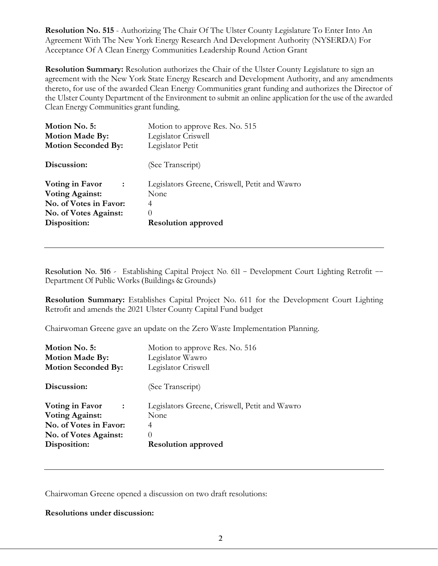**Resolution No. 515** - Authorizing The Chair Of The Ulster County Legislature To Enter Into An Agreement With The New York Energy Research And Development Authority (NYSERDA) For Acceptance Of A Clean Energy Communities Leadership Round Action Grant

**Resolution Summary:** Resolution authorizes the Chair of the Ulster County Legislature to sign an agreement with the New York State Energy Research and Development Authority, and any amendments thereto, for use of the awarded Clean Energy Communities grant funding and authorizes the Director of the Ulster County Department of the Environment to submit an online application for the use of the awarded Clean Energy Communities grant funding,

| Motion No. 5:<br><b>Motion Made By:</b><br><b>Motion Seconded By:</b>                                                                | Motion to approve Res. No. 515<br>Legislator Criswell<br>Legislator Petit                                    |  |
|--------------------------------------------------------------------------------------------------------------------------------------|--------------------------------------------------------------------------------------------------------------|--|
| Discussion:                                                                                                                          | (See Transcript)                                                                                             |  |
| Voting in Favor<br>$\ddot{\phantom{1}}$<br><b>Voting Against:</b><br>No. of Votes in Favor:<br>No. of Votes Against:<br>Disposition: | Legislators Greene, Criswell, Petit and Wawro<br>None<br>4<br>$\left( \right)$<br><b>Resolution approved</b> |  |

**Resolution No. 516 -** Establishing Capital Project No. 611 – Development Court Lighting Retrofit –– Department Of Public Works (Buildings & Grounds)

**Resolution Summary:** Establishes Capital Project No. 611 for the Development Court Lighting Retrofit and amends the 2021 Ulster County Capital Fund budget

Chairwoman Greene gave an update on the Zero Waste Implementation Planning.

| Motion No. 5:<br><b>Motion Made By:</b><br><b>Motion Seconded By:</b>                                                                | Motion to approve Res. No. 516<br>Legislator Wawro<br>Legislator Criswell                            |  |
|--------------------------------------------------------------------------------------------------------------------------------------|------------------------------------------------------------------------------------------------------|--|
| Discussion:                                                                                                                          | (See Transcript)                                                                                     |  |
| Voting in Favor<br>$\ddot{\phantom{1}}$<br><b>Voting Against:</b><br>No. of Votes in Favor:<br>No. of Votes Against:<br>Disposition: | Legislators Greene, Criswell, Petit and Wawro<br>None<br>4<br>$\theta$<br><b>Resolution approved</b> |  |

Chairwoman Greene opened a discussion on two draft resolutions:

**Resolutions under discussion:**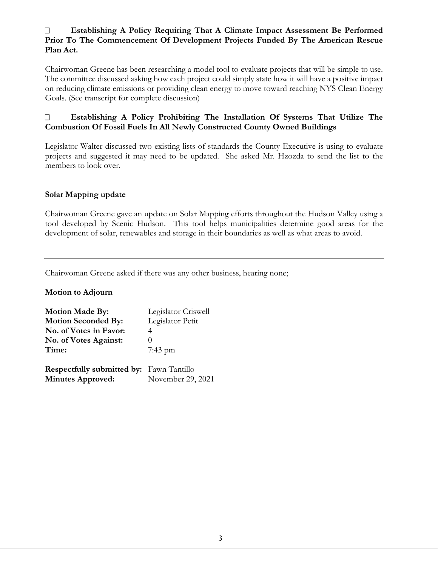### **Establishing A Policy Requiring That A Climate Impact Assessment Be Performed Prior To The Commencement Of Development Projects Funded By The American Rescue Plan Act.**

Chairwoman Greene has been researching a model tool to evaluate projects that will be simple to use. The committee discussed asking how each project could simply state how it will have a positive impact on reducing climate emissions or providing clean energy to move toward reaching NYS Clean Energy Goals. (See transcript for complete discussion)

### **Establishing A Policy Prohibiting The Installation Of Systems That Utilize The Combustion Of Fossil Fuels In All Newly Constructed County Owned Buildings**

Legislator Walter discussed two existing lists of standards the County Executive is using to evaluate projects and suggested it may need to be updated. She asked Mr. Hzozda to send the list to the members to look over.

### **Solar Mapping update**

Chairwoman Greene gave an update on Solar Mapping efforts throughout the Hudson Valley using a tool developed by Scenic Hudson. This tool helps municipalities determine good areas for the development of solar, renewables and storage in their boundaries as well as what areas to avoid.

Chairwoman Greene asked if there was any other business, hearing none;

**Motion to Adjourn**

| <b>Motion Made By:</b>                          | Legislator Criswell |
|-------------------------------------------------|---------------------|
| <b>Motion Seconded By:</b>                      | Legislator Petit    |
| No. of Votes in Favor:                          | 4                   |
| No. of Votes Against:                           | $\theta$            |
| Time:                                           | $7:43 \text{ pm}$   |
| <b>Respectfully submitted by:</b> Fawn Tantillo |                     |
| <b>Minutes Approved:</b>                        | November 29, 2021   |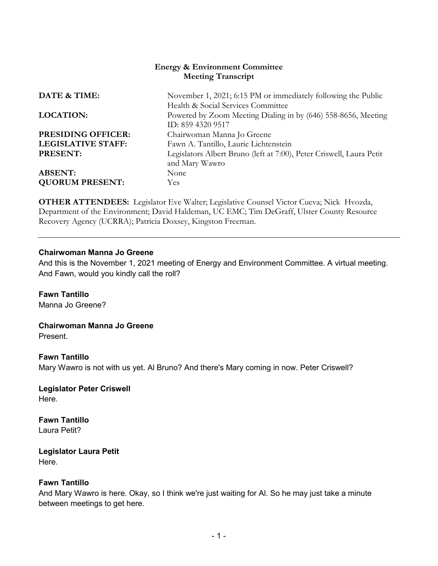### **Energy & Environment Committee Meeting Transcript**

| DATE & TIME:              | November 1, 2021; 6:15 PM or immediately following the Public                                                            |
|---------------------------|--------------------------------------------------------------------------------------------------------------------------|
| <b>LOCATION:</b>          | Health & Social Services Committee<br>Powered by Zoom Meeting Dialing in by (646) 558-8656, Meeting<br>ID: 859 4320 9517 |
| <b>PRESIDING OFFICER:</b> | Chairwoman Manna Jo Greene                                                                                               |
| <b>LEGISLATIVE STAFF:</b> | Fawn A. Tantillo, Laurie Lichtenstein                                                                                    |
| PRESENT:                  | Legislators Albert Bruno (left at 7:00), Peter Criswell, Laura Petit                                                     |
|                           | and Mary Wawro                                                                                                           |
| <b>ABSENT:</b>            | None                                                                                                                     |
| <b>QUORUM PRESENT:</b>    | Yes.                                                                                                                     |

**OTHER ATTENDEES:** Legislator Eve Walter; Legislative Counsel Victor Cueva; Nick Hvozda, Department of the Environment; David Haldeman, UC EMC; Tim DeGraff, Ulster County Resource Recovery Agency (UCRRA); Patricia Doxsey, Kingston Freeman.

#### **Chairwoman Manna Jo Greene**

And this is the November 1, 2021 meeting of Energy and Environment Committee. A virtual meeting. And Fawn, would you kindly call the roll?

### **Fawn Tantillo**

Manna Jo Greene?

**Chairwoman Manna Jo Greene** 

Present.

#### **Fawn Tantillo**

Mary Wawro is not with us yet. Al Bruno? And there's Mary coming in now. Peter Criswell?

**Legislator Peter Criswell**  Here.

**Fawn Tantillo**  Laura Petit?

**Legislator Laura Petit**  Here.

### **Fawn Tantillo**

And Mary Wawro is here. Okay, so I think we're just waiting for Al. So he may just take a minute between meetings to get here.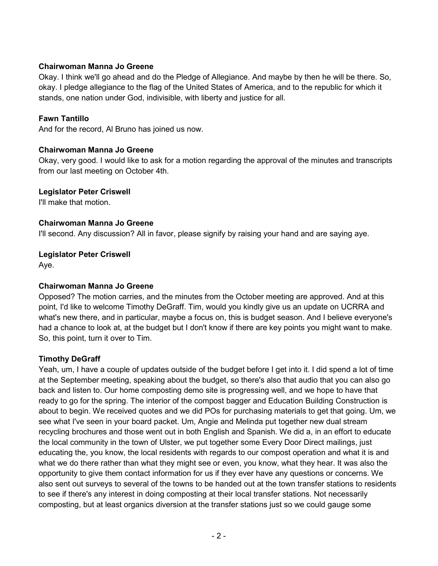Okay. I think we'll go ahead and do the Pledge of Allegiance. And maybe by then he will be there. So, okay. I pledge allegiance to the flag of the United States of America, and to the republic for which it stands, one nation under God, indivisible, with liberty and justice for all.

### **Fawn Tantillo**

And for the record, Al Bruno has joined us now.

#### **Chairwoman Manna Jo Greene**

Okay, very good. I would like to ask for a motion regarding the approval of the minutes and transcripts from our last meeting on October 4th.

#### **Legislator Peter Criswell**

I'll make that motion.

#### **Chairwoman Manna Jo Greene**

I'll second. Any discussion? All in favor, please signify by raising your hand and are saying aye.

#### **Legislator Peter Criswell**

Aye.

### **Chairwoman Manna Jo Greene**

Opposed? The motion carries, and the minutes from the October meeting are approved. And at this point, I'd like to welcome Timothy DeGraff. Tim, would you kindly give us an update on UCRRA and what's new there, and in particular, maybe a focus on, this is budget season. And I believe everyone's had a chance to look at, at the budget but I don't know if there are key points you might want to make. So, this point, turn it over to Tim.

### **Timothy DeGraff**

Yeah, um, I have a couple of updates outside of the budget before I get into it. I did spend a lot of time at the September meeting, speaking about the budget, so there's also that audio that you can also go back and listen to. Our home composting demo site is progressing well, and we hope to have that ready to go for the spring. The interior of the compost bagger and Education Building Construction is about to begin. We received quotes and we did POs for purchasing materials to get that going. Um, we see what I've seen in your board packet. Um, Angie and Melinda put together new dual stream recycling brochures and those went out in both English and Spanish. We did a, in an effort to educate the local community in the town of Ulster, we put together some Every Door Direct mailings, just educating the, you know, the local residents with regards to our compost operation and what it is and what we do there rather than what they might see or even, you know, what they hear. It was also the opportunity to give them contact information for us if they ever have any questions or concerns. We also sent out surveys to several of the towns to be handed out at the town transfer stations to residents to see if there's any interest in doing composting at their local transfer stations. Not necessarily composting, but at least organics diversion at the transfer stations just so we could gauge some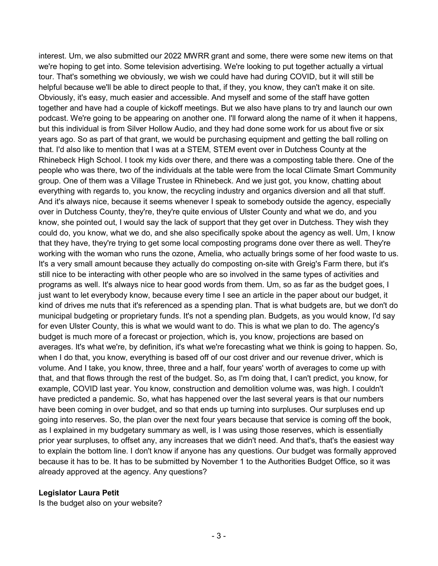interest. Um, we also submitted our 2022 MWRR grant and some, there were some new items on that we're hoping to get into. Some television advertising. We're looking to put together actually a virtual tour. That's something we obviously, we wish we could have had during COVID, but it will still be helpful because we'll be able to direct people to that, if they, you know, they can't make it on site. Obviously, it's easy, much easier and accessible. And myself and some of the staff have gotten together and have had a couple of kickoff meetings. But we also have plans to try and launch our own podcast. We're going to be appearing on another one. I'll forward along the name of it when it happens, but this individual is from Silver Hollow Audio, and they had done some work for us about five or six years ago. So as part of that grant, we would be purchasing equipment and getting the ball rolling on that. I'd also like to mention that I was at a STEM, STEM event over in Dutchess County at the Rhinebeck High School. I took my kids over there, and there was a composting table there. One of the people who was there, two of the individuals at the table were from the local Climate Smart Community group. One of them was a Village Trustee in Rhinebeck. And we just got, you know, chatting about everything with regards to, you know, the recycling industry and organics diversion and all that stuff. And it's always nice, because it seems whenever I speak to somebody outside the agency, especially over in Dutchess County, they're, they're quite envious of Ulster County and what we do, and you know, she pointed out, I would say the lack of support that they get over in Dutchess. They wish they could do, you know, what we do, and she also specifically spoke about the agency as well. Um, I know that they have, they're trying to get some local composting programs done over there as well. They're working with the woman who runs the ozone, Amelia, who actually brings some of her food waste to us. It's a very small amount because they actually do composting on-site with Greig's Farm there, but it's still nice to be interacting with other people who are so involved in the same types of activities and programs as well. It's always nice to hear good words from them. Um, so as far as the budget goes, I just want to let everybody know, because every time I see an article in the paper about our budget, it kind of drives me nuts that it's referenced as a spending plan. That is what budgets are, but we don't do municipal budgeting or proprietary funds. It's not a spending plan. Budgets, as you would know, I'd say for even Ulster County, this is what we would want to do. This is what we plan to do. The agency's budget is much more of a forecast or projection, which is, you know, projections are based on averages. It's what we're, by definition, it's what we're forecasting what we think is going to happen. So, when I do that, you know, everything is based off of our cost driver and our revenue driver, which is volume. And I take, you know, three, three and a half, four years' worth of averages to come up with that, and that flows through the rest of the budget. So, as I'm doing that, I can't predict, you know, for example, COVID last year. You know, construction and demolition volume was, was high. I couldn't have predicted a pandemic. So, what has happened over the last several years is that our numbers have been coming in over budget, and so that ends up turning into surpluses. Our surpluses end up going into reserves. So, the plan over the next four years because that service is coming off the book, as I explained in my budgetary summary as well, is I was using those reserves, which is essentially prior year surpluses, to offset any, any increases that we didn't need. And that's, that's the easiest way to explain the bottom line. I don't know if anyone has any questions. Our budget was formally approved because it has to be. It has to be submitted by November 1 to the Authorities Budget Office, so it was already approved at the agency. Any questions?

### **Legislator Laura Petit**

Is the budget also on your website?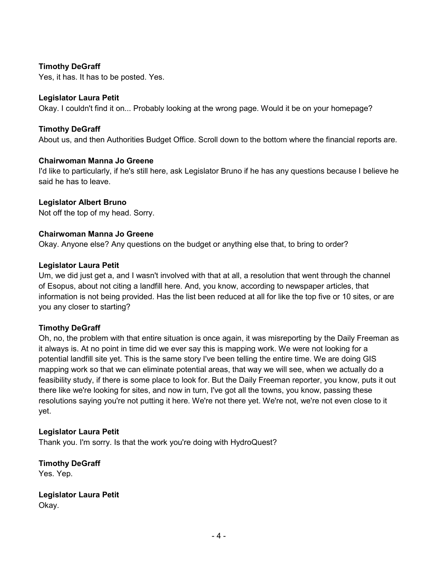### **Timothy DeGraff**

Yes, it has. It has to be posted. Yes.

### **Legislator Laura Petit**

Okay. I couldn't find it on... Probably looking at the wrong page. Would it be on your homepage?

### **Timothy DeGraff**

About us, and then Authorities Budget Office. Scroll down to the bottom where the financial reports are.

#### **Chairwoman Manna Jo Greene**

I'd like to particularly, if he's still here, ask Legislator Bruno if he has any questions because I believe he said he has to leave.

### **Legislator Albert Bruno**

Not off the top of my head. Sorry.

### **Chairwoman Manna Jo Greene**

Okay. Anyone else? Any questions on the budget or anything else that, to bring to order?

#### **Legislator Laura Petit**

Um, we did just get a, and I wasn't involved with that at all, a resolution that went through the channel of Esopus, about not citing a landfill here. And, you know, according to newspaper articles, that information is not being provided. Has the list been reduced at all for like the top five or 10 sites, or are you any closer to starting?

### **Timothy DeGraff**

Oh, no, the problem with that entire situation is once again, it was misreporting by the Daily Freeman as it always is. At no point in time did we ever say this is mapping work. We were not looking for a potential landfill site yet. This is the same story I've been telling the entire time. We are doing GIS mapping work so that we can eliminate potential areas, that way we will see, when we actually do a feasibility study, if there is some place to look for. But the Daily Freeman reporter, you know, puts it out there like we're looking for sites, and now in turn, I've got all the towns, you know, passing these resolutions saying you're not putting it here. We're not there yet. We're not, we're not even close to it yet.

### **Legislator Laura Petit**

Thank you. I'm sorry. Is that the work you're doing with HydroQuest?

**Timothy DeGraff**  Yes. Yep.

**Legislator Laura Petit**  Okay.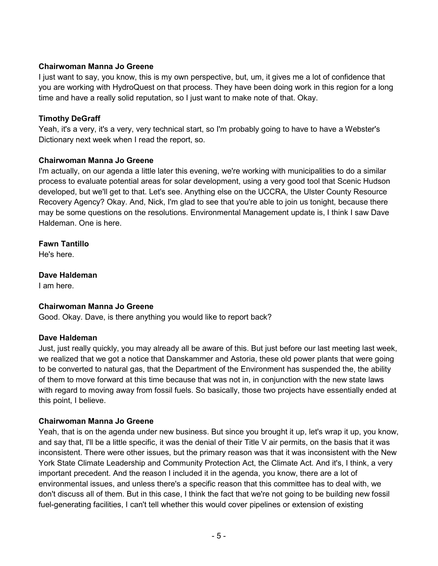I just want to say, you know, this is my own perspective, but, um, it gives me a lot of confidence that you are working with HydroQuest on that process. They have been doing work in this region for a long time and have a really solid reputation, so I just want to make note of that. Okay.

### **Timothy DeGraff**

Yeah, it's a very, it's a very, very technical start, so I'm probably going to have to have a Webster's Dictionary next week when I read the report, so.

### **Chairwoman Manna Jo Greene**

I'm actually, on our agenda a little later this evening, we're working with municipalities to do a similar process to evaluate potential areas for solar development, using a very good tool that Scenic Hudson developed, but we'll get to that. Let's see. Anything else on the UCCRA, the Ulster County Resource Recovery Agency? Okay. And, Nick, I'm glad to see that you're able to join us tonight, because there may be some questions on the resolutions. Environmental Management update is, I think I saw Dave Haldeman. One is here.

# **Fawn Tantillo**

He's here.

**Dave Haldeman**  I am here.

# **Chairwoman Manna Jo Greene**

Good. Okay. Dave, is there anything you would like to report back?

### **Dave Haldeman**

Just, just really quickly, you may already all be aware of this. But just before our last meeting last week, we realized that we got a notice that Danskammer and Astoria, these old power plants that were going to be converted to natural gas, that the Department of the Environment has suspended the, the ability of them to move forward at this time because that was not in, in conjunction with the new state laws with regard to moving away from fossil fuels. So basically, those two projects have essentially ended at this point, I believe.

### **Chairwoman Manna Jo Greene**

Yeah, that is on the agenda under new business. But since you brought it up, let's wrap it up, you know, and say that, I'll be a little specific, it was the denial of their Title V air permits, on the basis that it was inconsistent. There were other issues, but the primary reason was that it was inconsistent with the New York State Climate Leadership and Community Protection Act, the Climate Act. And it's, I think, a very important precedent. And the reason I included it in the agenda, you know, there are a lot of environmental issues, and unless there's a specific reason that this committee has to deal with, we don't discuss all of them. But in this case, I think the fact that we're not going to be building new fossil fuel-generating facilities, I can't tell whether this would cover pipelines or extension of existing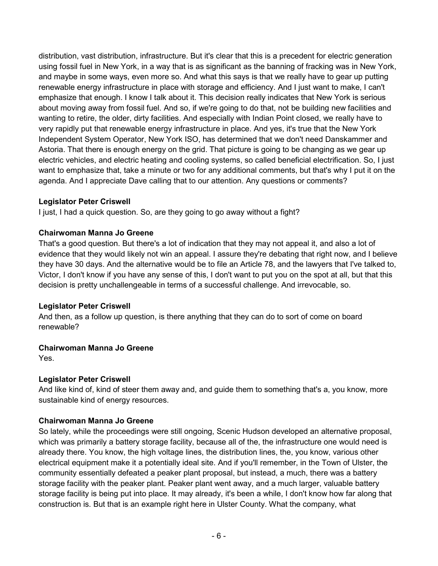distribution, vast distribution, infrastructure. But it's clear that this is a precedent for electric generation using fossil fuel in New York, in a way that is as significant as the banning of fracking was in New York, and maybe in some ways, even more so. And what this says is that we really have to gear up putting renewable energy infrastructure in place with storage and efficiency. And I just want to make, I can't emphasize that enough. I know I talk about it. This decision really indicates that New York is serious about moving away from fossil fuel. And so, if we're going to do that, not be building new facilities and wanting to retire, the older, dirty facilities. And especially with Indian Point closed, we really have to very rapidly put that renewable energy infrastructure in place. And yes, it's true that the New York Independent System Operator, New York ISO, has determined that we don't need Danskammer and Astoria. That there is enough energy on the grid. That picture is going to be changing as we gear up electric vehicles, and electric heating and cooling systems, so called beneficial electrification. So, I just want to emphasize that, take a minute or two for any additional comments, but that's why I put it on the agenda. And I appreciate Dave calling that to our attention. Any questions or comments?

### **Legislator Peter Criswell**

I just, I had a quick question. So, are they going to go away without a fight?

### **Chairwoman Manna Jo Greene**

That's a good question. But there's a lot of indication that they may not appeal it, and also a lot of evidence that they would likely not win an appeal. I assure they're debating that right now, and I believe they have 30 days. And the alternative would be to file an Article 78, and the lawyers that I've talked to, Victor, I don't know if you have any sense of this, I don't want to put you on the spot at all, but that this decision is pretty unchallengeable in terms of a successful challenge. And irrevocable, so.

# **Legislator Peter Criswell**

And then, as a follow up question, is there anything that they can do to sort of come on board renewable?

# **Chairwoman Manna Jo Greene**

Yes.

# **Legislator Peter Criswell**

And like kind of, kind of steer them away and, and guide them to something that's a, you know, more sustainable kind of energy resources.

# **Chairwoman Manna Jo Greene**

So lately, while the proceedings were still ongoing, Scenic Hudson developed an alternative proposal, which was primarily a battery storage facility, because all of the, the infrastructure one would need is already there. You know, the high voltage lines, the distribution lines, the, you know, various other electrical equipment make it a potentially ideal site. And if you'll remember, in the Town of Ulster, the community essentially defeated a peaker plant proposal, but instead, a much, there was a battery storage facility with the peaker plant. Peaker plant went away, and a much larger, valuable battery storage facility is being put into place. It may already, it's been a while, I don't know how far along that construction is. But that is an example right here in Ulster County. What the company, what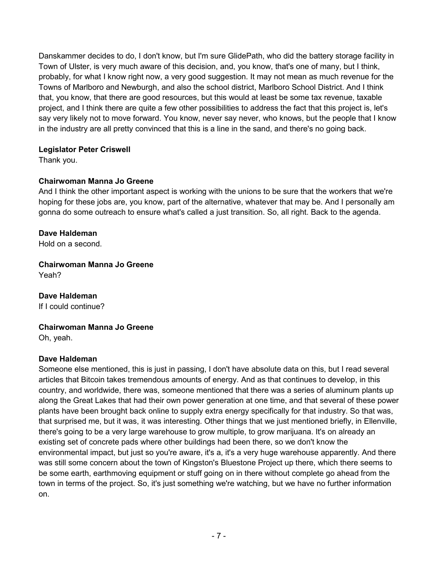Danskammer decides to do, I don't know, but I'm sure GlidePath, who did the battery storage facility in Town of Ulster, is very much aware of this decision, and, you know, that's one of many, but I think, probably, for what I know right now, a very good suggestion. It may not mean as much revenue for the Towns of Marlboro and Newburgh, and also the school district, Marlboro School District. And I think that, you know, that there are good resources, but this would at least be some tax revenue, taxable project, and I think there are quite a few other possibilities to address the fact that this project is, let's say very likely not to move forward. You know, never say never, who knows, but the people that I know in the industry are all pretty convinced that this is a line in the sand, and there's no going back.

# **Legislator Peter Criswell**

Thank you.

# **Chairwoman Manna Jo Greene**

And I think the other important aspect is working with the unions to be sure that the workers that we're hoping for these jobs are, you know, part of the alternative, whatever that may be. And I personally am gonna do some outreach to ensure what's called a just transition. So, all right. Back to the agenda.

# **Dave Haldeman**

Hold on a second.

#### **Chairwoman Manna Jo Greene**  Yeah?

**Dave Haldeman** 

If I could continue?

# **Chairwoman Manna Jo Greene**

Oh, yeah.

# **Dave Haldeman**

Someone else mentioned, this is just in passing, I don't have absolute data on this, but I read several articles that Bitcoin takes tremendous amounts of energy. And as that continues to develop, in this country, and worldwide, there was, someone mentioned that there was a series of aluminum plants up along the Great Lakes that had their own power generation at one time, and that several of these power plants have been brought back online to supply extra energy specifically for that industry. So that was, that surprised me, but it was, it was interesting. Other things that we just mentioned briefly, in Ellenville, there's going to be a very large warehouse to grow multiple, to grow marijuana. It's on already an existing set of concrete pads where other buildings had been there, so we don't know the environmental impact, but just so you're aware, it's a, it's a very huge warehouse apparently. And there was still some concern about the town of Kingston's Bluestone Project up there, which there seems to be some earth, earthmoving equipment or stuff going on in there without complete go ahead from the town in terms of the project. So, it's just something we're watching, but we have no further information on.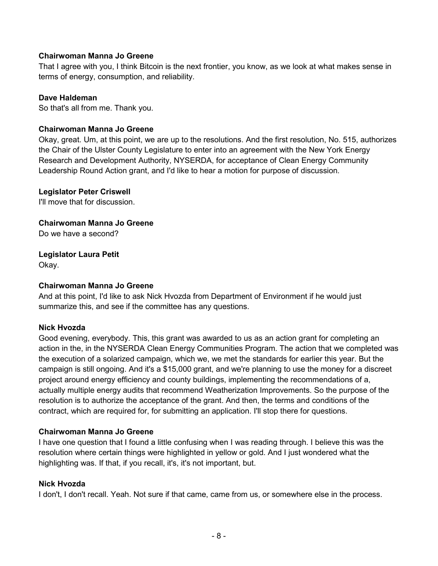That I agree with you, I think Bitcoin is the next frontier, you know, as we look at what makes sense in terms of energy, consumption, and reliability.

### **Dave Haldeman**

So that's all from me. Thank you.

### **Chairwoman Manna Jo Greene**

Okay, great. Um, at this point, we are up to the resolutions. And the first resolution, No. 515, authorizes the Chair of the Ulster County Legislature to enter into an agreement with the New York Energy Research and Development Authority, NYSERDA, for acceptance of Clean Energy Community Leadership Round Action grant, and I'd like to hear a motion for purpose of discussion.

### **Legislator Peter Criswell**

I'll move that for discussion.

**Chairwoman Manna Jo Greene** 

Do we have a second?

# **Legislator Laura Petit**

Okay.

### **Chairwoman Manna Jo Greene**

And at this point, I'd like to ask Nick Hvozda from Department of Environment if he would just summarize this, and see if the committee has any questions.

# **Nick Hvozda**

Good evening, everybody. This, this grant was awarded to us as an action grant for completing an action in the, in the NYSERDA Clean Energy Communities Program. The action that we completed was the execution of a solarized campaign, which we, we met the standards for earlier this year. But the campaign is still ongoing. And it's a \$15,000 grant, and we're planning to use the money for a discreet project around energy efficiency and county buildings, implementing the recommendations of a, actually multiple energy audits that recommend Weatherization Improvements. So the purpose of the resolution is to authorize the acceptance of the grant. And then, the terms and conditions of the contract, which are required for, for submitting an application. I'll stop there for questions.

### **Chairwoman Manna Jo Greene**

I have one question that I found a little confusing when I was reading through. I believe this was the resolution where certain things were highlighted in yellow or gold. And I just wondered what the highlighting was. If that, if you recall, it's, it's not important, but.

### **Nick Hvozda**

I don't, I don't recall. Yeah. Not sure if that came, came from us, or somewhere else in the process.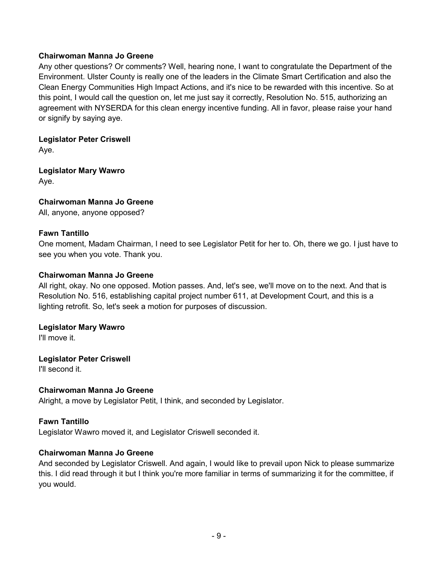Any other questions? Or comments? Well, hearing none, I want to congratulate the Department of the Environment. Ulster County is really one of the leaders in the Climate Smart Certification and also the Clean Energy Communities High Impact Actions, and it's nice to be rewarded with this incentive. So at this point, I would call the question on, let me just say it correctly, Resolution No. 515, authorizing an agreement with NYSERDA for this clean energy incentive funding. All in favor, please raise your hand or signify by saying aye.

**Legislator Peter Criswell**  Aye.

**Legislator Mary Wawro**  Aye.

**Chairwoman Manna Jo Greene** 

All, anyone, anyone opposed?

### **Fawn Tantillo**

One moment, Madam Chairman, I need to see Legislator Petit for her to. Oh, there we go. I just have to see you when you vote. Thank you.

### **Chairwoman Manna Jo Greene**

All right, okay. No one opposed. Motion passes. And, let's see, we'll move on to the next. And that is Resolution No. 516, establishing capital project number 611, at Development Court, and this is a lighting retrofit. So, let's seek a motion for purposes of discussion.

### **Legislator Mary Wawro**

I'll move it.

# **Legislator Peter Criswell**

I'll second it.

### **Chairwoman Manna Jo Greene**

Alright, a move by Legislator Petit, I think, and seconded by Legislator.

# **Fawn Tantillo**

Legislator Wawro moved it, and Legislator Criswell seconded it.

### **Chairwoman Manna Jo Greene**

And seconded by Legislator Criswell. And again, I would like to prevail upon Nick to please summarize this. I did read through it but I think you're more familiar in terms of summarizing it for the committee, if you would.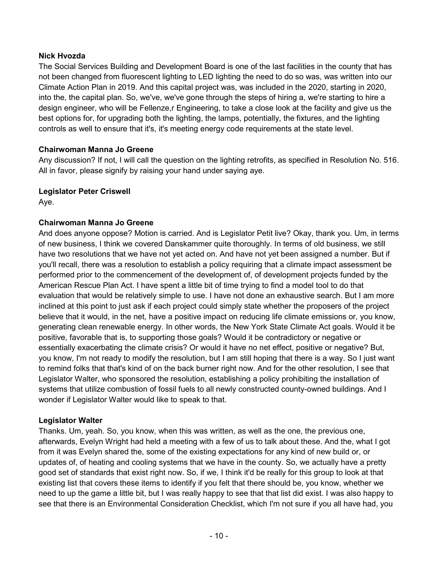### **Nick Hvozda**

The Social Services Building and Development Board is one of the last facilities in the county that has not been changed from fluorescent lighting to LED lighting the need to do so was, was written into our Climate Action Plan in 2019. And this capital project was, was included in the 2020, starting in 2020, into the, the capital plan. So, we've, we've gone through the steps of hiring a, we're starting to hire a design engineer, who will be Fellenze,r Engineering, to take a close look at the facility and give us the best options for, for upgrading both the lighting, the lamps, potentially, the fixtures, and the lighting controls as well to ensure that it's, it's meeting energy code requirements at the state level.

# **Chairwoman Manna Jo Greene**

Any discussion? If not, I will call the question on the lighting retrofits, as specified in Resolution No. 516. All in favor, please signify by raising your hand under saying aye.

# **Legislator Peter Criswell**

Aye.

# **Chairwoman Manna Jo Greene**

And does anyone oppose? Motion is carried. And is Legislator Petit live? Okay, thank you. Um, in terms of new business, I think we covered Danskammer quite thoroughly. In terms of old business, we still have two resolutions that we have not yet acted on. And have not yet been assigned a number. But if you'll recall, there was a resolution to establish a policy requiring that a climate impact assessment be performed prior to the commencement of the development of, of development projects funded by the American Rescue Plan Act. I have spent a little bit of time trying to find a model tool to do that evaluation that would be relatively simple to use. I have not done an exhaustive search. But I am more inclined at this point to just ask if each project could simply state whether the proposers of the project believe that it would, in the net, have a positive impact on reducing life climate emissions or, you know, generating clean renewable energy. In other words, the New York State Climate Act goals. Would it be positive, favorable that is, to supporting those goals? Would it be contradictory or negative or essentially exacerbating the climate crisis? Or would it have no net effect, positive or negative? But, you know, I'm not ready to modify the resolution, but I am still hoping that there is a way. So I just want to remind folks that that's kind of on the back burner right now. And for the other resolution, I see that Legislator Walter, who sponsored the resolution, establishing a policy prohibiting the installation of systems that utilize combustion of fossil fuels to all newly constructed county-owned buildings. And I wonder if Legislator Walter would like to speak to that.

# **Legislator Walter**

Thanks. Um, yeah. So, you know, when this was written, as well as the one, the previous one, afterwards, Evelyn Wright had held a meeting with a few of us to talk about these. And the, what I got from it was Evelyn shared the, some of the existing expectations for any kind of new build or, or updates of, of heating and cooling systems that we have in the county. So, we actually have a pretty good set of standards that exist right now. So, if we, I think it'd be really for this group to look at that existing list that covers these items to identify if you felt that there should be, you know, whether we need to up the game a little bit, but I was really happy to see that that list did exist. I was also happy to see that there is an Environmental Consideration Checklist, which I'm not sure if you all have had, you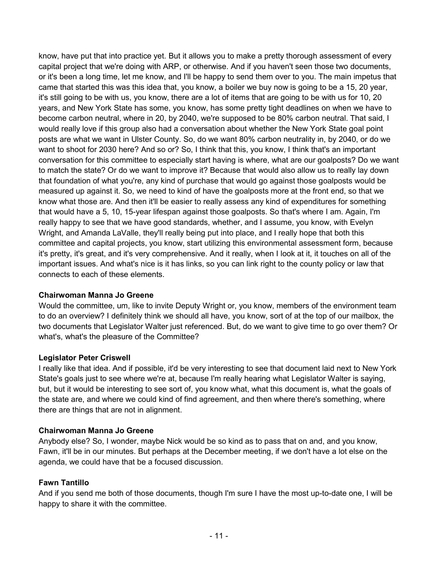know, have put that into practice yet. But it allows you to make a pretty thorough assessment of every capital project that we're doing with ARP, or otherwise. And if you haven't seen those two documents, or it's been a long time, let me know, and I'll be happy to send them over to you. The main impetus that came that started this was this idea that, you know, a boiler we buy now is going to be a 15, 20 year, it's still going to be with us, you know, there are a lot of items that are going to be with us for 10, 20 years, and New York State has some, you know, has some pretty tight deadlines on when we have to become carbon neutral, where in 20, by 2040, we're supposed to be 80% carbon neutral. That said, I would really love if this group also had a conversation about whether the New York State goal point posts are what we want in Ulster County. So, do we want 80% carbon neutrality in, by 2040, or do we want to shoot for 2030 here? And so or? So, I think that this, you know, I think that's an important conversation for this committee to especially start having is where, what are our goalposts? Do we want to match the state? Or do we want to improve it? Because that would also allow us to really lay down that foundation of what you're, any kind of purchase that would go against those goalposts would be measured up against it. So, we need to kind of have the goalposts more at the front end, so that we know what those are. And then it'll be easier to really assess any kind of expenditures for something that would have a 5, 10, 15-year lifespan against those goalposts. So that's where I am. Again, I'm really happy to see that we have good standards, whether, and I assume, you know, with Evelyn Wright, and Amanda LaValle, they'll really being put into place, and I really hope that both this committee and capital projects, you know, start utilizing this environmental assessment form, because it's pretty, it's great, and it's very comprehensive. And it really, when I look at it, it touches on all of the important issues. And what's nice is it has links, so you can link right to the county policy or law that connects to each of these elements.

### **Chairwoman Manna Jo Greene**

Would the committee, um, like to invite Deputy Wright or, you know, members of the environment team to do an overview? I definitely think we should all have, you know, sort of at the top of our mailbox, the two documents that Legislator Walter just referenced. But, do we want to give time to go over them? Or what's, what's the pleasure of the Committee?

# **Legislator Peter Criswell**

I really like that idea. And if possible, it'd be very interesting to see that document laid next to New York State's goals just to see where we're at, because I'm really hearing what Legislator Walter is saying, but, but it would be interesting to see sort of, you know what, what this document is, what the goals of the state are, and where we could kind of find agreement, and then where there's something, where there are things that are not in alignment.

# **Chairwoman Manna Jo Greene**

Anybody else? So, I wonder, maybe Nick would be so kind as to pass that on and, and you know, Fawn, it'll be in our minutes. But perhaps at the December meeting, if we don't have a lot else on the agenda, we could have that be a focused discussion.

# **Fawn Tantillo**

And if you send me both of those documents, though I'm sure I have the most up-to-date one, I will be happy to share it with the committee.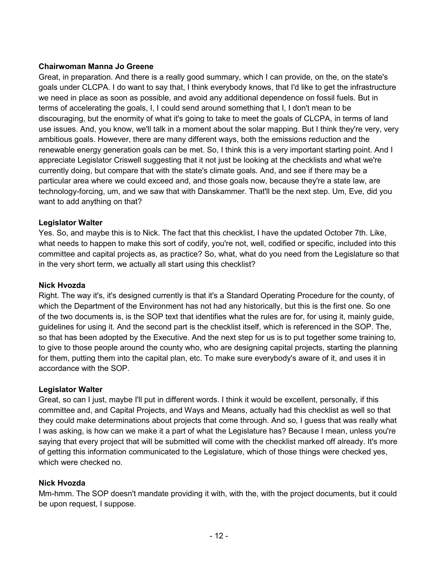Great, in preparation. And there is a really good summary, which I can provide, on the, on the state's goals under CLCPA. I do want to say that, I think everybody knows, that I'd like to get the infrastructure we need in place as soon as possible, and avoid any additional dependence on fossil fuels. But in terms of accelerating the goals, I, I could send around something that I, I don't mean to be discouraging, but the enormity of what it's going to take to meet the goals of CLCPA, in terms of land use issues. And, you know, we'll talk in a moment about the solar mapping. But I think they're very, very ambitious goals. However, there are many different ways, both the emissions reduction and the renewable energy generation goals can be met. So, I think this is a very important starting point. And I appreciate Legislator Criswell suggesting that it not just be looking at the checklists and what we're currently doing, but compare that with the state's climate goals. And, and see if there may be a particular area where we could exceed and, and those goals now, because they're a state law, are technology-forcing, um, and we saw that with Danskammer. That'll be the next step. Um, Eve, did you want to add anything on that?

### **Legislator Walter**

Yes. So, and maybe this is to Nick. The fact that this checklist, I have the updated October 7th. Like, what needs to happen to make this sort of codify, you're not, well, codified or specific, included into this committee and capital projects as, as practice? So, what, what do you need from the Legislature so that in the very short term, we actually all start using this checklist?

### **Nick Hvozda**

Right. The way it's, it's designed currently is that it's a Standard Operating Procedure for the county, of which the Department of the Environment has not had any historically, but this is the first one. So one of the two documents is, is the SOP text that identifies what the rules are for, for using it, mainly guide, guidelines for using it. And the second part is the checklist itself, which is referenced in the SOP. The, so that has been adopted by the Executive. And the next step for us is to put together some training to, to give to those people around the county who, who are designing capital projects, starting the planning for them, putting them into the capital plan, etc. To make sure everybody's aware of it, and uses it in accordance with the SOP.

### **Legislator Walter**

Great, so can I just, maybe I'll put in different words. I think it would be excellent, personally, if this committee and, and Capital Projects, and Ways and Means, actually had this checklist as well so that they could make determinations about projects that come through. And so, I guess that was really what I was asking, is how can we make it a part of what the Legislature has? Because I mean, unless you're saying that every project that will be submitted will come with the checklist marked off already. It's more of getting this information communicated to the Legislature, which of those things were checked yes, which were checked no.

### **Nick Hvozda**

Mm-hmm. The SOP doesn't mandate providing it with, with the, with the project documents, but it could be upon request, I suppose.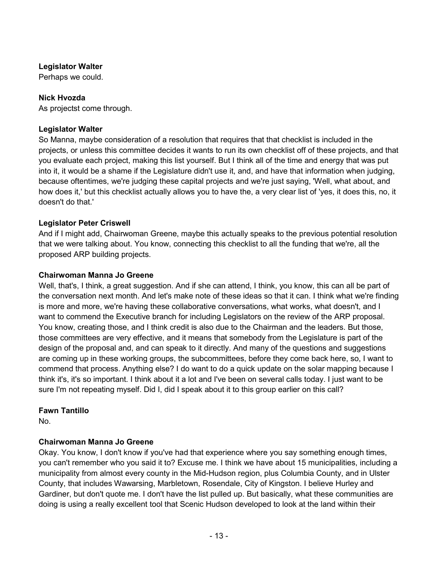# **Legislator Walter**

Perhaps we could.

# **Nick Hvozda**

As projectst come through.

### **Legislator Walter**

So Manna, maybe consideration of a resolution that requires that that checklist is included in the projects, or unless this committee decides it wants to run its own checklist off of these projects, and that you evaluate each project, making this list yourself. But I think all of the time and energy that was put into it, it would be a shame if the Legislature didn't use it, and, and have that information when judging, because oftentimes, we're judging these capital projects and we're just saying, 'Well, what about, and how does it,' but this checklist actually allows you to have the, a very clear list of 'yes, it does this, no, it doesn't do that.'

### **Legislator Peter Criswell**

And if I might add, Chairwoman Greene, maybe this actually speaks to the previous potential resolution that we were talking about. You know, connecting this checklist to all the funding that we're, all the proposed ARP building projects.

### **Chairwoman Manna Jo Greene**

Well, that's, I think, a great suggestion. And if she can attend, I think, you know, this can all be part of the conversation next month. And let's make note of these ideas so that it can. I think what we're finding is more and more, we're having these collaborative conversations, what works, what doesn't, and I want to commend the Executive branch for including Legislators on the review of the ARP proposal. You know, creating those, and I think credit is also due to the Chairman and the leaders. But those, those committees are very effective, and it means that somebody from the Legislature is part of the design of the proposal and, and can speak to it directly. And many of the questions and suggestions are coming up in these working groups, the subcommittees, before they come back here, so, I want to commend that process. Anything else? I do want to do a quick update on the solar mapping because I think it's, it's so important. I think about it a lot and I've been on several calls today. I just want to be sure I'm not repeating myself. Did I, did I speak about it to this group earlier on this call?

### **Fawn Tantillo**

No.

# **Chairwoman Manna Jo Greene**

Okay. You know, I don't know if you've had that experience where you say something enough times, you can't remember who you said it to? Excuse me. I think we have about 15 municipalities, including a municipality from almost every county in the Mid-Hudson region, plus Columbia County, and in Ulster County, that includes Wawarsing, Marbletown, Rosendale, City of Kingston. I believe Hurley and Gardiner, but don't quote me. I don't have the list pulled up. But basically, what these communities are doing is using a really excellent tool that Scenic Hudson developed to look at the land within their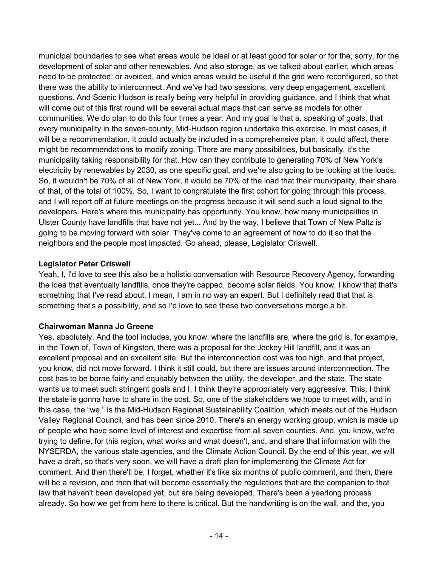municipal boundaries to see what areas would be ideal or at least good for solar or for the, sorry, for the development of solar and other renewables. And also storage, as we talked about earlier, which areas need to be protected, or avoided, and which areas would be useful if the grid were reconfigured, so that there was the ability to interconnect. And we've had two sessions, very deep engagement, excellent questions. And Scenic Hudson is really being very helpful in providing guidance, and I think that what will come out of this first round will be several actual maps that can serve as models for other communities. We do plan to do this four times a year. And my goal is that a, speaking of goals, that every municipality in the seven-county, Mid-Hudson region undertake this exercise. In most cases, it will be a recommendation, it could actually be included in a comprehensive plan, it could affect, there might be recommendations to modify zoning. There are many possibilities, but basically, it's the municipality taking responsibility for that. How can they contribute to generating 70% of New York's electricity by renewables by 2030, as one specific goal, and we're also going to be looking at the loads. So, it wouldn't be 70% of all of New York, it would be 70% of the load that their municipality, their share of that, of the total of 100%. So, I want to congratulate the first cohort for going through this process, and I will report off at future meetings on the progress because it will send such a loud signal to the developers. Here's where this municipality has opportunity. You know, how many municipalities in Ulster County have landfills that have not yet... And by the way, I believe that Town of New Paltz is going to be moving forward with solar. They've come to an agreement of how to do it so that the neighbors and the people most impacted. Go ahead, please, Legislator Criswell.

### **Legislator Peter Criswell**

Yeah, I, I'd love to see this also be a holistic conversation with Resource Recovery Agency, forwarding the idea that eventually landfills, once they're capped, become solar fields. You know, I know that that's something that I've read about. I mean, I am in no way an expert. But I definitely read that that is something that's a possibility, and so I'd love to see these two conversations merge a bit.

# **Chairwoman Manna Jo Greene**

Yes, absolutely. And the tool includes, you know, where the landfills are, where the grid is, for example, in the Town of, Town of Kingston, there was a proposal for the Jockey Hill landfill, and it was an excellent proposal and an excellent site. But the interconnection cost was too high, and that project, you know, did not move forward. I think it still could, but there are issues around interconnection. The cost has to be borne fairly and equitably between the utility, the developer, and the state. The state wants us to meet such stringent goals and I, I think they're appropriately very aggressive. This, I think the state is gonna have to share in the cost. So, one of the stakeholders we hope to meet with, and in this case, the "we," is the Mid-Hudson Regional Sustainability Coalition, which meets out of the Hudson Valley Regional Council, and has been since 2010. There's an energy working group, which is made up of people who have some level of interest and expertise from all seven counties. And, you know, we're trying to define, for this region, what works and what doesn't, and, and share that information with the NYSERDA, the various state agencies, and the Climate Action Council. By the end of this year, we will have a draft, so that's very soon, we will have a draft plan for implementing the Climate Act for comment. And then there'll be, I forget, whether it's like six months of public comment, and then, there will be a revision, and then that will become essentially the regulations that are the companion to that law that haven't been developed yet, but are being developed. There's been a yearlong process already. So how we get from here to there is critical. But the handwriting is on the wall, and the, you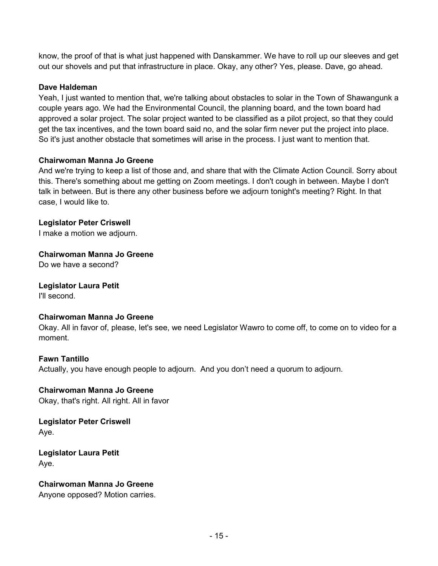know, the proof of that is what just happened with Danskammer. We have to roll up our sleeves and get out our shovels and put that infrastructure in place. Okay, any other? Yes, please. Dave, go ahead.

### **Dave Haldeman**

Yeah, I just wanted to mention that, we're talking about obstacles to solar in the Town of Shawangunk a couple years ago. We had the Environmental Council, the planning board, and the town board had approved a solar project. The solar project wanted to be classified as a pilot project, so that they could get the tax incentives, and the town board said no, and the solar firm never put the project into place. So it's just another obstacle that sometimes will arise in the process. I just want to mention that.

### **Chairwoman Manna Jo Greene**

And we're trying to keep a list of those and, and share that with the Climate Action Council. Sorry about this. There's something about me getting on Zoom meetings. I don't cough in between. Maybe I don't talk in between. But is there any other business before we adjourn tonight's meeting? Right. In that case, I would like to.

**Legislator Peter Criswell** 

I make a motion we adjourn.

**Chairwoman Manna Jo Greene** 

Do we have a second?

**Legislator Laura Petit** 

I'll second.

### **Chairwoman Manna Jo Greene**

Okay. All in favor of, please, let's see, we need Legislator Wawro to come off, to come on to video for a moment.

### **Fawn Tantillo**

Actually, you have enough people to adjourn. And you don't need a quorum to adjourn.

**Chairwoman Manna Jo Greene**  Okay, that's right. All right. All in favor

**Legislator Peter Criswell**  Aye.

**Legislator Laura Petit**  Aye.

**Chairwoman Manna Jo Greene**  Anyone opposed? Motion carries.